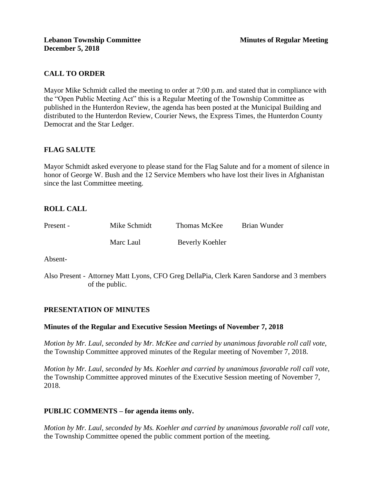# **CALL TO ORDER**

Mayor Mike Schmidt called the meeting to order at 7:00 p.m. and stated that in compliance with the "Open Public Meeting Act" this is a Regular Meeting of the Township Committee as published in the Hunterdon Review, the agenda has been posted at the Municipal Building and distributed to the Hunterdon Review, Courier News, the Express Times, the Hunterdon County Democrat and the Star Ledger.

# **FLAG SALUTE**

Mayor Schmidt asked everyone to please stand for the Flag Salute and for a moment of silence in honor of George W. Bush and the 12 Service Members who have lost their lives in Afghanistan since the last Committee meeting.

# **ROLL CALL**

| Present - | Mike Schmidt | Thomas McKee    | Brian Wunder |
|-----------|--------------|-----------------|--------------|
|           | Marc Laul    | Beverly Koehler |              |

Absent-

Also Present - Attorney Matt Lyons, CFO Greg DellaPia, Clerk Karen Sandorse and 3 members of the public.

### **PRESENTATION OF MINUTES**

### **Minutes of the Regular and Executive Session Meetings of November 7, 2018**

*Motion by Mr. Laul, seconded by Mr. McKee and carried by unanimous favorable roll call vote,*  the Township Committee approved minutes of the Regular meeting of November 7, 2018.

*Motion by Mr. Laul, seconded by Ms. Koehler and carried by unanimous favorable roll call vote,*  the Township Committee approved minutes of the Executive Session meeting of November 7, 2018.

#### **PUBLIC COMMENTS – for agenda items only.**

*Motion by Mr. Laul, seconded by Ms. Koehler and carried by unanimous favorable roll call vote,*  the Township Committee opened the public comment portion of the meeting.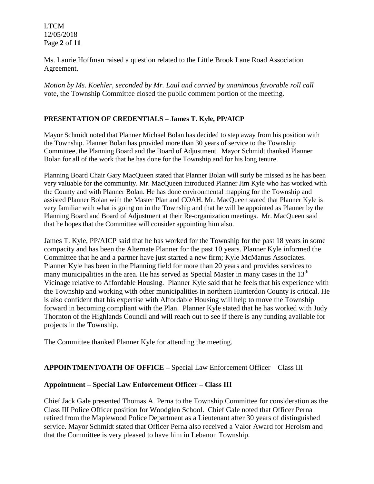LTCM 12/05/2018 Page **2** of **11**

Ms. Laurie Hoffman raised a question related to the Little Brook Lane Road Association Agreement.

*Motion by Ms. Koehler, seconded by Mr. Laul and carried by unanimous favorable roll call*  vote*,* the Township Committee closed the public comment portion of the meeting.

# **PRESENTATION OF CREDENTIALS – James T. Kyle, PP/AICP**

Mayor Schmidt noted that Planner Michael Bolan has decided to step away from his position with the Township. Planner Bolan has provided more than 30 years of service to the Township Committee, the Planning Board and the Board of Adjustment. Mayor Schmidt thanked Planner Bolan for all of the work that he has done for the Township and for his long tenure.

Planning Board Chair Gary MacQueen stated that Planner Bolan will surly be missed as he has been very valuable for the community. Mr. MacQueen introduced Planner Jim Kyle who has worked with the County and with Planner Bolan. He has done environmental mapping for the Township and assisted Planner Bolan with the Master Plan and COAH. Mr. MacQueen stated that Planner Kyle is very familiar with what is going on in the Township and that he will be appointed as Planner by the Planning Board and Board of Adjustment at their Re-organization meetings. Mr. MacQueen said that he hopes that the Committee will consider appointing him also.

James T. Kyle, PP/AICP said that he has worked for the Township for the past 18 years in some compacity and has been the Alternate Planner for the past 10 years. Planner Kyle informed the Committee that he and a partner have just started a new firm; Kyle McManus Associates. Planner Kyle has been in the Planning field for more than 20 years and provides services to many municipalities in the area. He has served as Special Master in many cases in the  $13<sup>th</sup>$ Vicinage relative to Affordable Housing. Planner Kyle said that he feels that his experience with the Township and working with other municipalities in northern Hunterdon County is critical. He is also confident that his expertise with Affordable Housing will help to move the Township forward in becoming compliant with the Plan. Planner Kyle stated that he has worked with Judy Thornton of the Highlands Council and will reach out to see if there is any funding available for projects in the Township.

The Committee thanked Planner Kyle for attending the meeting.

## **APPOINTMENT/OATH OF OFFICE –** Special Law Enforcement Officer – Class III

### **Appointment – Special Law Enforcement Officer – Class III**

Chief Jack Gale presented Thomas A. Perna to the Township Committee for consideration as the Class III Police Officer position for Woodglen School. Chief Gale noted that Officer Perna retired from the Maplewood Police Department as a Lieutenant after 30 years of distinguished service. Mayor Schmidt stated that Officer Perna also received a Valor Award for Heroism and that the Committee is very pleased to have him in Lebanon Township.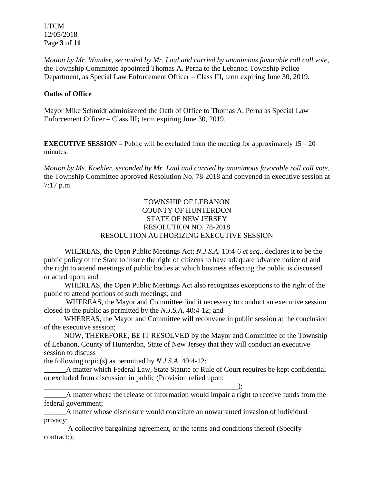LTCM 12/05/2018 Page **3** of **11**

*Motion by Mr. Wunder, seconded by Mr. Laul and carried by unanimous favorable roll call vote,* the Township Committee appointed Thomas A. Perna to the Lebanon Township Police Department, as Special Law Enforcement Officer – Class III**,** term expiring June 30, 2019.

# **Oaths of Office**

Mayor Mike Schmidt administered the Oath of Office to Thomas A. Perna as Special Law Enforcement Officer – Class III**;** term expiring June 30, 2019.

**EXECUTIVE SESSION –** Public will be excluded from the meeting for approximately  $15 - 20$ minutes.

*Motion by Ms. Koehler, seconded by Mr. Laul and carried by unanimous favorable roll call vote,* the Township Committee approved Resolution No. 78-2018 and convened in executive session at 7:17 p.m.

# TOWNSHIP OF LEBANON COUNTY OF HUNTERDON STATE OF NEW JERSEY RESOLUTION NO. 78-2018 RESOLUTION AUTHORIZING EXECUTIVE SESSION

WHEREAS, the Open Public Meetings Act; *N.J.S.A.* 10:4-6 *et seq*., declares it to be the public policy of the State to insure the right of citizens to have adequate advance notice of and the right to attend meetings of public bodies at which business affecting the public is discussed or acted upon; and

WHEREAS, the Open Public Meetings Act also recognizes exceptions to the right of the public to attend portions of such meetings; and

 WHEREAS, the Mayor and Committee find it necessary to conduct an executive session closed to the public as permitted by the *N.J.S.A*. 40:4-12; and

 WHEREAS, the Mayor and Committee will reconvene in public session at the conclusion of the executive session;

 NOW, THEREFORE, BE IT RESOLVED by the Mayor and Committee of the Township of Lebanon, County of Hunterdon, State of New Jersey that they will conduct an executive session to discuss

the following topic(s) as permitted by *N.J.S.A*. 40:4-12:

\_\_\_\_\_\_\_\_\_\_\_\_\_\_\_\_\_\_\_\_\_\_\_\_\_\_\_\_\_\_\_\_\_\_\_\_\_\_\_\_\_\_\_\_\_\_\_\_\_\_\_\_\_);

\_\_\_\_\_\_A matter which Federal Law, State Statute or Rule of Court requires be kept confidential or excluded from discussion in public (Provision relied upon:

A matter where the release of information would impair a right to receive funds from the federal government;

\_\_\_\_\_\_A matter whose disclosure would constitute an unwarranted invasion of individual privacy;

 A collective bargaining agreement, or the terms and conditions thereof (Specify contract:);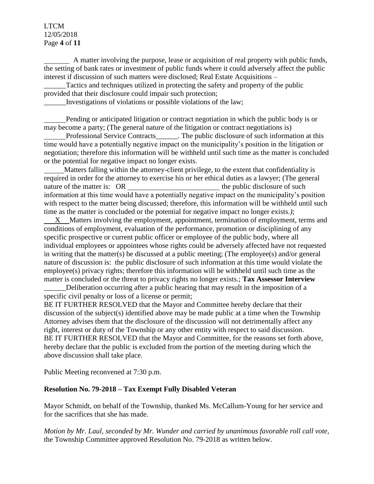# LTCM 12/05/2018 Page **4** of **11**

 A matter involving the purpose, lease or acquisition of real property with public funds, the setting of bank rates or investment of public funds where it could adversely affect the public interest if discussion of such matters were disclosed; Real Estate Acquisitions –

Tactics and techniques utilized in protecting the safety and property of the public provided that their disclosure could impair such protection;

\_\_\_\_\_\_Investigations of violations or possible violations of the law;

 Pending or anticipated litigation or contract negotiation in which the public body is or may become a party; (The general nature of the litigation or contract negotiations is)

Professional Service Contracts\_\_\_\_\_\_. The public disclosure of such information at this time would have a potentially negative impact on the municipality's position in the litigation or negotiation; therefore this information will be withheld until such time as the matter is concluded or the potential for negative impact no longer exists.

 Matters falling within the attorney-client privilege, to the extent that confidentiality is required in order for the attorney to exercise his or her ethical duties as a lawyer; (The general nature of the matter is: OR the public disclosure of such the public disclosure of such the public disclosure of such the public disclosure of such the public disclosure of such the public disclosure of such the public dis information at this time would have a potentially negative impact on the municipality's position with respect to the matter being discussed; therefore, this information will be withheld until such time as the matter is concluded or the potential for negative impact no longer exists.*)*;

 X Matters involving the employment, appointment, termination of employment, terms and conditions of employment, evaluation of the performance, promotion or disciplining of any specific prospective or current public officer or employee of the public body, where all individual employees or appointees whose rights could be adversely affected have not requested in writing that the matter(s) be discussed at a public meeting; (The employee(s) and/or general nature of discussion is: the public disclosure of such information at this time would violate the employee(s) privacy rights; therefore this information will be withheld until such time as the matter is concluded or the threat to privacy rights no longer exists.; **Tax Assessor Interview**

Deliberation occurring after a public hearing that may result in the imposition of a specific civil penalty or loss of a license or permit;

BE IT FURTHER RESOLVED that the Mayor and Committee hereby declare that their discussion of the subject(s) identified above may be made public at a time when the Township Attorney advises them that the disclosure of the discussion will not detrimentally affect any right, interest or duty of the Township or any other entity with respect to said discussion. BE IT FURTHER RESOLVED that the Mayor and Committee, for the reasons set forth above, hereby declare that the public is excluded from the portion of the meeting during which the above discussion shall take place.

Public Meeting reconvened at 7:30 p.m.

# **Resolution No. 79-2018 – Tax Exempt Fully Disabled Veteran**

Mayor Schmidt, on behalf of the Township, thanked Ms. McCallum-Young for her service and for the sacrifices that she has made.

*Motion by Mr. Laul, seconded by Mr. Wunder and carried by unanimous favorable roll call vote,* the Township Committee approved Resolution No. 79-2018 as written below.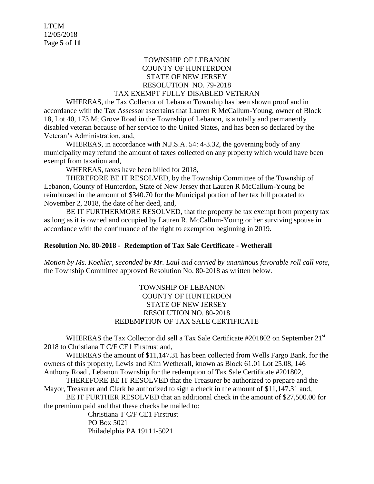# TOWNSHIP OF LEBANON COUNTY OF HUNTERDON STATE OF NEW JERSEY RESOLUTION NO. 79-2018

#### TAX EXEMPT FULLY DISABLED VETERAN

WHEREAS, the Tax Collector of Lebanon Township has been shown proof and in accordance with the Tax Assessor ascertains that Lauren R McCallum-Young, owner of Block 18, Lot 40, 173 Mt Grove Road in the Township of Lebanon, is a totally and permanently disabled veteran because of her service to the United States, and has been so declared by the Veteran's Administration, and,

WHEREAS, in accordance with N.J.S.A. 54: 4-3.32, the governing body of any municipality may refund the amount of taxes collected on any property which would have been exempt from taxation and,

WHEREAS, taxes have been billed for 2018,

THEREFORE BE IT RESOLVED, by the Township Committee of the Township of Lebanon, County of Hunterdon, State of New Jersey that Lauren R McCallum-Young be reimbursed in the amount of \$340.70 for the Municipal portion of her tax bill prorated to November 2, 2018, the date of her deed, and,

BE IT FURTHERMORE RESOLVED, that the property be tax exempt from property tax as long as it is owned and occupied by Lauren R. McCallum-Young or her surviving spouse in accordance with the continuance of the right to exemption beginning in 2019.

### **Resolution No. 80-2018 - Redemption of Tax Sale Certificate - Wetherall**

*Motion by Ms. Koehler, seconded by Mr. Laul and carried by unanimous favorable roll call vote,* the Township Committee approved Resolution No. 80-2018 as written below.

# TOWNSHIP OF LEBANON COUNTY OF HUNTERDON STATE OF NEW JERSEY RESOLUTION NO. 80-2018 REDEMPTION OF TAX SALE CERTIFICATE

WHEREAS the Tax Collector did sell a Tax Sale Certificate #201802 on September  $21<sup>st</sup>$ 2018 to Christiana T C/F CE1 Firstrust and,

WHEREAS the amount of \$11,147.31 has been collected from Wells Fargo Bank, for the owners of this property, Lewis and Kim Wetherall, known as Block 61.01 Lot 25.08, 146 Anthony Road , Lebanon Township for the redemption of Tax Sale Certificate #201802,

THEREFORE BE IT RESOLVED that the Treasurer be authorized to prepare and the Mayor, Treasurer and Clerk be authorized to sign a check in the amount of \$11,147.31 and,

BE IT FURTHER RESOLVED that an additional check in the amount of \$27,500.00 for the premium paid and that these checks be mailed to:

> Christiana T C/F CE1 Firstrust PO Box 5021 Philadelphia PA 19111-5021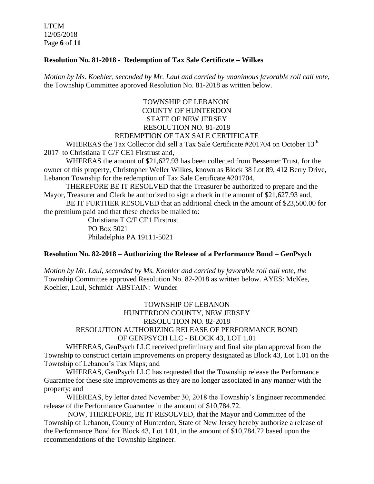LTCM 12/05/2018 Page **6** of **11**

### **Resolution No. 81-2018 - Redemption of Tax Sale Certificate – Wilkes**

*Motion by Ms. Koehler, seconded by Mr. Laul and carried by unanimous favorable roll call vote,* the Township Committee approved Resolution No. 81-2018 as written below.

# TOWNSHIP OF LEBANON COUNTY OF HUNTERDON STATE OF NEW JERSEY RESOLUTION NO. 81-2018 REDEMPTION OF TAX SALE CERTIFICATE

WHEREAS the Tax Collector did sell a Tax Sale Certificate #201704 on October 13<sup>th</sup> 2017 to Christiana T C/F CE1 Firstrust and.

WHEREAS the amount of \$21,627.93 has been collected from Bessemer Trust, for the owner of this property, Christopher Weller Wilkes, known as Block 38 Lot 89, 412 Berry Drive, Lebanon Township for the redemption of Tax Sale Certificate #201704,

THEREFORE BE IT RESOLVED that the Treasurer be authorized to prepare and the Mayor, Treasurer and Clerk be authorized to sign a check in the amount of \$21,627.93 and,

BE IT FURTHER RESOLVED that an additional check in the amount of \$23,500.00 for the premium paid and that these checks be mailed to:

> Christiana T C/F CE1 Firstrust PO Box 5021 Philadelphia PA 19111-5021

#### **Resolution No. 82-2018 – Authorizing the Release of a Performance Bond – GenPsych**

*Motion by Mr. Laul, seconded by Ms. Koehler and carried by favorable roll call vote, the* Township Committee approved Resolution No. 82-2018 as written below. AYES: McKee, Koehler, Laul, Schmidt ABSTAIN: Wunder

# TOWNSHIP OF LEBANON HUNTERDON COUNTY, NEW JERSEY RESOLUTION NO. 82-2018 RESOLUTION AUTHORIZING RELEASE OF PERFORMANCE BOND OF GENPSYCH LLC - BLOCK 43, LOT 1.01

WHEREAS, GenPsych LLC received preliminary and final site plan approval from the Township to construct certain improvements on property designated as Block 43, Lot 1.01 on the Township of Lebanon's Tax Maps; and

WHEREAS, GenPsych LLC has requested that the Township release the Performance Guarantee for these site improvements as they are no longer associated in any manner with the property; and

WHEREAS, by letter dated November 30, 2018 the Township's Engineer recommended release of the Performance Guarantee in the amount of \$10,784.72.

NOW, THEREFORE, BE IT RESOLVED, that the Mayor and Committee of the Township of Lebanon, County of Hunterdon, State of New Jersey hereby authorize a release of the Performance Bond for Block 43, Lot 1.01, in the amount of \$10,784.72 based upon the recommendations of the Township Engineer.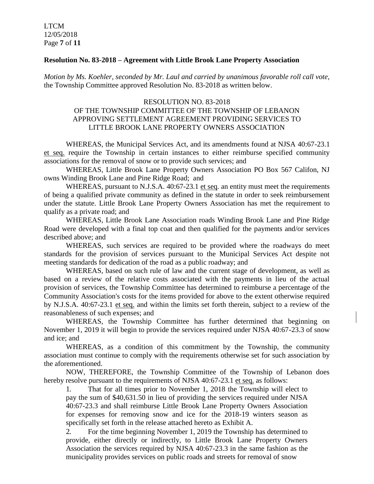#### **Resolution No. 83-2018 – Agreement with Little Brook Lane Property Association**

*Motion by Ms. Koehler, seconded by Mr. Laul and carried by unanimous favorable roll call vote,* the Township Committee approved Resolution No. 83-2018 as written below.

# RESOLUTION NO. 83-2018 OF THE TOWNSHIP COMMITTEE OF THE TOWNSHIP OF LEBANON APPROVING SETTLEMENT AGREEMENT PROVIDING SERVICES TO LITTLE BROOK LANE PROPERTY OWNERS ASSOCIATION

WHEREAS, the Municipal Services Act, and its amendments found at NJSA 40:67-23.1 et seq. require the Township in certain instances to either reimburse specified community associations for the removal of snow or to provide such services; and

WHEREAS, Little Brook Lane Property Owners Association PO Box 567 Califon, NJ owns Winding Brook Lane and Pine Ridge Road; and

WHEREAS, pursuant to N.J.S.A. 40:67-23.1 et seq. an entity must meet the requirements of being a qualified private community as defined in the statute in order to seek reimbursement under the statute. Little Brook Lane Property Owners Association has met the requirement to qualify as a private road; and

WHEREAS, Little Brook Lane Association roads Winding Brook Lane and Pine Ridge Road were developed with a final top coat and then qualified for the payments and/or services described above; and

WHEREAS, such services are required to be provided where the roadways do meet standards for the provision of services pursuant to the Municipal Services Act despite not meeting standards for dedication of the road as a public roadway; and

WHEREAS, based on such rule of law and the current stage of development, as well as based on a review of the relative costs associated with the payments in lieu of the actual provision of services, the Township Committee has determined to reimburse a percentage of the Community Association's costs for the items provided for above to the extent otherwise required by N.J.S.A. 40:67-23.1 et seq. and within the limits set forth therein, subject to a review of the reasonableness of such expenses; and

WHEREAS, the Township Committee has further determined that beginning on November 1, 2019 it will begin to provide the services required under NJSA 40:67-23.3 of snow and ice; and

WHEREAS, as a condition of this commitment by the Township, the community association must continue to comply with the requirements otherwise set for such association by the aforementioned.

NOW, THEREFORE, the Township Committee of the Township of Lebanon does hereby resolve pursuant to the requirements of NJSA 40:67-23.1 et seq. as follows:

1. That for all times prior to November 1, 2018 the Township will elect to pay the sum of \$40,631.50 in lieu of providing the services required under NJSA 40:67-23.3 and shall reimburse Little Brook Lane Property Owners Association for expenses for removing snow and ice for the 2018-19 winters season as specifically set forth in the release attached hereto as Exhibit A.

2. For the time beginning November 1, 2019 the Township has determined to provide, either directly or indirectly, to Little Brook Lane Property Owners Association the services required by NJSA 40:67-23.3 in the same fashion as the municipality provides services on public roads and streets for removal of snow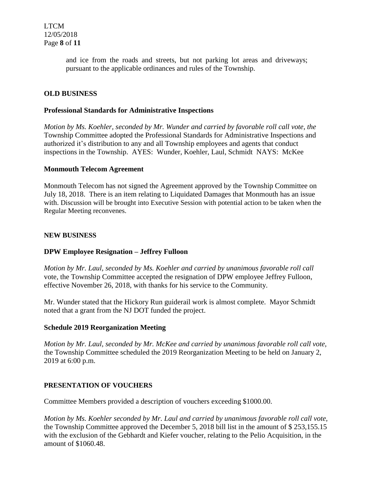and ice from the roads and streets, but not parking lot areas and driveways; pursuant to the applicable ordinances and rules of the Township.

# **OLD BUSINESS**

#### **Professional Standards for Administrative Inspections**

*Motion by Ms. Koehler, seconded by Mr. Wunder and carried by favorable roll call vote, the* Township Committee adopted the Professional Standards for Administrative Inspections and authorized it's distribution to any and all Township employees and agents that conduct inspections in the Township. AYES: Wunder, Koehler, Laul, Schmidt NAYS: McKee

#### **Monmouth Telecom Agreement**

Monmouth Telecom has not signed the Agreement approved by the Township Committee on July 18, 2018. There is an item relating to Liquidated Damages that Monmouth has an issue with. Discussion will be brought into Executive Session with potential action to be taken when the Regular Meeting reconvenes.

#### **NEW BUSINESS**

### **DPW Employee Resignation – Jeffrey Fulloon**

*Motion by Mr. Laul, seconded by Ms. Koehler and carried by unanimous favorable roll call*  vote, the Township Committee accepted the resignation of DPW employee Jeffrey Fulloon, effective November 26, 2018, with thanks for his service to the Community.

Mr. Wunder stated that the Hickory Run guiderail work is almost complete. Mayor Schmidt noted that a grant from the NJ DOT funded the project.

### **Schedule 2019 Reorganization Meeting**

*Motion by Mr. Laul, seconded by Mr. McKee and carried by unanimous favorable roll call vote,* the Township Committee scheduled the 2019 Reorganization Meeting to be held on January 2, 2019 at 6:00 p.m.

#### **PRESENTATION OF VOUCHERS**

Committee Members provided a description of vouchers exceeding \$1000.00.

*Motion by Ms. Koehler seconded by Mr. Laul and carried by unanimous favorable roll call vote,* the Township Committee approved the December 5, 2018 bill list in the amount of \$ 253,155.15 with the exclusion of the Gebhardt and Kiefer voucher, relating to the Pelio Acquisition, in the amount of \$1060.48.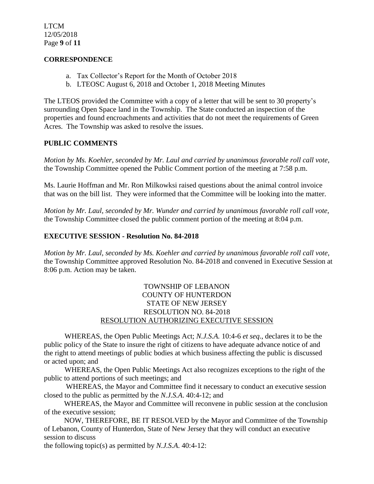#### **CORRESPONDENCE**

- a. Tax Collector's Report for the Month of October 2018
- b. LTEOSC August 6, 2018 and October 1, 2018 Meeting Minutes

The LTEOS provided the Committee with a copy of a letter that will be sent to 30 property's surrounding Open Space land in the Township. The State conducted an inspection of the properties and found encroachments and activities that do not meet the requirements of Green Acres. The Township was asked to resolve the issues.

### **PUBLIC COMMENTS**

*Motion by Ms. Koehler, seconded by Mr. Laul and carried by unanimous favorable roll call vote,* the Township Committee opened the Public Comment portion of the meeting at 7:58 p.m.

Ms. Laurie Hoffman and Mr. Ron Milkowksi raised questions about the animal control invoice that was on the bill list. They were informed that the Committee will be looking into the matter.

*Motion by Mr. Laul, seconded by Mr. Wunder and carried by unanimous favorable roll call vote,* the Township Committee closed the public comment portion of the meeting at 8:04 p.m.

# **EXECUTIVE SESSION - Resolution No. 84-2018**

*Motion by Mr. Laul, seconded by Ms. Koehler and carried by unanimous favorable roll call vote,* the Township Committee approved Resolution No. 84-2018 and convened in Executive Session at 8:06 p.m. Action may be taken.

# TOWNSHIP OF LEBANON COUNTY OF HUNTERDON STATE OF NEW JERSEY RESOLUTION NO. 84-2018 RESOLUTION AUTHORIZING EXECUTIVE SESSION

WHEREAS, the Open Public Meetings Act; *N.J.S.A.* 10:4-6 *et seq*., declares it to be the public policy of the State to insure the right of citizens to have adequate advance notice of and the right to attend meetings of public bodies at which business affecting the public is discussed or acted upon; and

WHEREAS, the Open Public Meetings Act also recognizes exceptions to the right of the public to attend portions of such meetings; and

 WHEREAS, the Mayor and Committee find it necessary to conduct an executive session closed to the public as permitted by the *N.J.S.A*. 40:4-12; and

 WHEREAS, the Mayor and Committee will reconvene in public session at the conclusion of the executive session;

 NOW, THEREFORE, BE IT RESOLVED by the Mayor and Committee of the Township of Lebanon, County of Hunterdon, State of New Jersey that they will conduct an executive session to discuss

the following topic(s) as permitted by *N.J.S.A*. 40:4-12: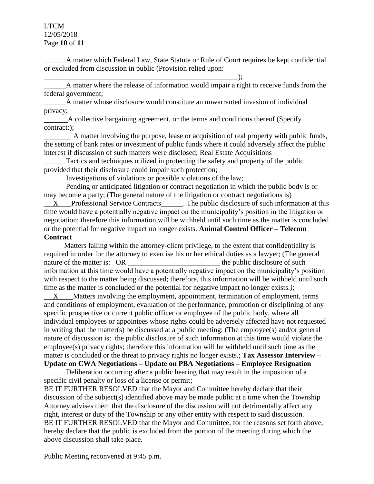## LTCM 12/05/2018 Page **10** of **11**

\_\_\_\_\_\_A matter which Federal Law, State Statute or Rule of Court requires be kept confidential or excluded from discussion in public (Provision relied upon:

 $\qquad \qquad ; \qquad$ \_\_\_\_\_\_A matter where the release of information would impair a right to receive funds from the federal government;

\_\_\_\_\_\_A matter whose disclosure would constitute an unwarranted invasion of individual privacy;

 A collective bargaining agreement, or the terms and conditions thereof (Specify contract:);

 A matter involving the purpose, lease or acquisition of real property with public funds, the setting of bank rates or investment of public funds where it could adversely affect the public interest if discussion of such matters were disclosed; Real Estate Acquisitions –

Tactics and techniques utilized in protecting the safety and property of the public provided that their disclosure could impair such protection;

\_\_\_\_\_\_Investigations of violations or possible violations of the law;

 Pending or anticipated litigation or contract negotiation in which the public body is or may become a party; (The general nature of the litigation or contract negotiations is)

 X Professional Service Contracts\_\_\_\_\_\_. The public disclosure of such information at this time would have a potentially negative impact on the municipality's position in the litigation or negotiation; therefore this information will be withheld until such time as the matter is concluded or the potential for negative impact no longer exists. **Animal Control Officer – Telecom Contract** 

 Matters falling within the attorney-client privilege, to the extent that confidentiality is required in order for the attorney to exercise his or her ethical duties as a lawyer; (The general nature of the matter is: OR the public disclosure of such the public disclosure of such information at this time would have a potentially negative impact on the municipality's position with respect to the matter being discussed; therefore, this information will be withheld until such time as the matter is concluded or the potential for negative impact no longer exists.*)*;

 X Matters involving the employment, appointment, termination of employment, terms and conditions of employment, evaluation of the performance, promotion or disciplining of any specific prospective or current public officer or employee of the public body, where all individual employees or appointees whose rights could be adversely affected have not requested in writing that the matter(s) be discussed at a public meeting; (The employee(s) and/or general nature of discussion is: the public disclosure of such information at this time would violate the employee(s) privacy rights; therefore this information will be withheld until such time as the matter is concluded or the threat to privacy rights no longer exists.; **Tax Assessor Interview – Update on CWA Negotiations – Update on PBA Negotiations – Employee Resignation**

Deliberation occurring after a public hearing that may result in the imposition of a specific civil penalty or loss of a license or permit;

BE IT FURTHER RESOLVED that the Mayor and Committee hereby declare that their discussion of the subject(s) identified above may be made public at a time when the Township Attorney advises them that the disclosure of the discussion will not detrimentally affect any right, interest or duty of the Township or any other entity with respect to said discussion. BE IT FURTHER RESOLVED that the Mayor and Committee, for the reasons set forth above, hereby declare that the public is excluded from the portion of the meeting during which the above discussion shall take place.

Public Meeting reconvened at 9:45 p.m.